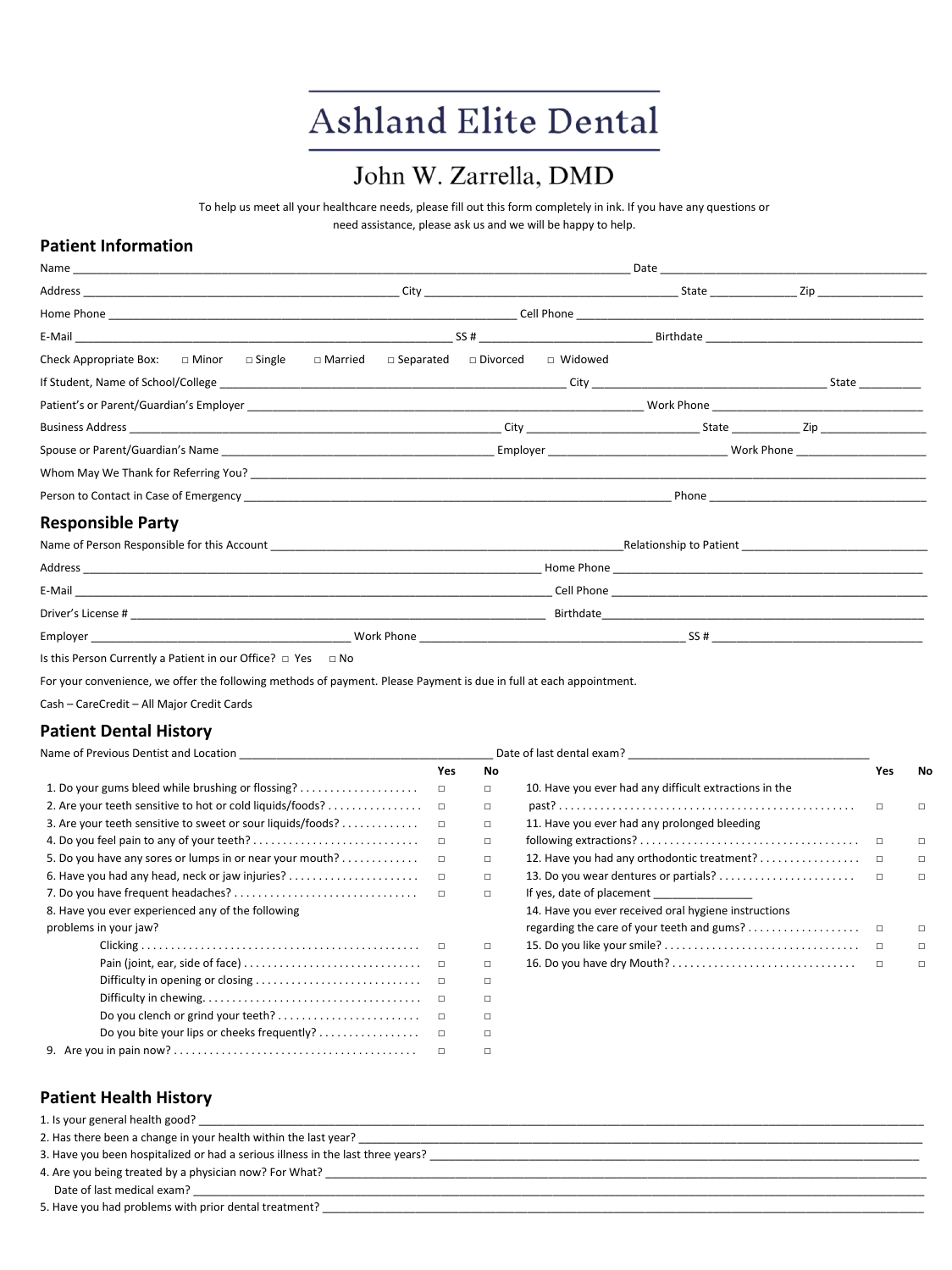# **Ashland Elite Dental**

## John W. Zarrella, DMD

To help us meet all your healthcare needs, please fill out this form completely in ink. If you have any questions or need assistance, please ask us and we will be happy to help.

#### **Patient Information**

|                                                      | Date<br>the control of the control of the control of the control of the control of the control of |                                                 |     |                                            |  |  |  |
|------------------------------------------------------|---------------------------------------------------------------------------------------------------|-------------------------------------------------|-----|--------------------------------------------|--|--|--|
|                                                      |                                                                                                   |                                                 |     | _ Zip _______________________              |  |  |  |
|                                                      |                                                                                                   |                                                 |     |                                            |  |  |  |
|                                                      |                                                                                                   |                                                 |     |                                            |  |  |  |
| Check Appropriate Box: $\Box$ Minor<br>$\Box$ Single | $\Box$ Married                                                                                    | $\Box$ Separated $\Box$ Divorced $\Box$ Widowed |     |                                            |  |  |  |
|                                                      |                                                                                                   |                                                 |     | State                                      |  |  |  |
|                                                      |                                                                                                   |                                                 |     |                                            |  |  |  |
|                                                      |                                                                                                   |                                                 |     |                                            |  |  |  |
|                                                      |                                                                                                   |                                                 |     | Employer and the control of the Work Phone |  |  |  |
|                                                      |                                                                                                   |                                                 |     |                                            |  |  |  |
|                                                      |                                                                                                   |                                                 |     |                                            |  |  |  |
| <b>Responsible Party</b>                             |                                                                                                   |                                                 |     |                                            |  |  |  |
|                                                      |                                                                                                   |                                                 |     |                                            |  |  |  |
|                                                      |                                                                                                   |                                                 |     |                                            |  |  |  |
|                                                      |                                                                                                   |                                                 |     |                                            |  |  |  |
|                                                      |                                                                                                   |                                                 |     |                                            |  |  |  |
|                                                      |                                                                                                   |                                                 | SS# |                                            |  |  |  |

Is this Person Currently a Patient in our Office? □ Yes □ No

For your convenience, we offer the following methods of payment. Please Payment is due in full at each appointment.

Cash – CareCredit – All Major Credit Cards

#### **Patient Dental History**

| Name of Previous Dentist and Location                       |        |        |                                                        |        |        |
|-------------------------------------------------------------|--------|--------|--------------------------------------------------------|--------|--------|
|                                                             | Yes    | No     |                                                        | Yes    | No     |
| 1. Do your gums bleed while brushing or flossing?           | $\Box$ | $\Box$ | 10. Have you ever had any difficult extractions in the |        |        |
| 2. Are your teeth sensitive to hot or cold liquids/foods?   | $\Box$ | $\Box$ |                                                        | $\Box$ | $\Box$ |
| 3. Are your teeth sensitive to sweet or sour liquids/foods? | □      | $\Box$ | 11. Have you ever had any prolonged bleeding           |        |        |
|                                                             | $\Box$ | $\Box$ |                                                        |        | $\Box$ |
| 5. Do you have any sores or lumps in or near your mouth?    | $\Box$ | $\Box$ |                                                        |        | $\Box$ |
|                                                             | $\Box$ | $\Box$ |                                                        | $\Box$ | $\Box$ |
|                                                             | $\Box$ | $\Box$ | If yes, date of placement                              |        |        |
| 8. Have you ever experienced any of the following           |        |        | 14. Have you ever received oral hygiene instructions   |        |        |
| problems in your jaw?                                       |        |        |                                                        |        | $\Box$ |
|                                                             | $\Box$ | $\Box$ |                                                        |        | $\Box$ |
|                                                             | $\Box$ | $\Box$ | 16. Do you have dry Mouth?                             | $\Box$ | $\Box$ |
|                                                             | $\Box$ | $\Box$ |                                                        |        |        |
|                                                             | $\Box$ | $\Box$ |                                                        |        |        |
|                                                             |        | $\Box$ |                                                        |        |        |
| Do you bite your lips or cheeks frequently?                 |        | $\Box$ |                                                        |        |        |

9. Are you in pain now? . . . . . . . . . . . . . . . . . . . . . . . . . . . . . . . . . . . . . . . . . □ □

#### **Patient Health History**

| 1. Is your general health good?                                                 |
|---------------------------------------------------------------------------------|
| 2. Has there been a change in your health within the last year?                 |
| 3. Have you been hospitalized or had a serious illness in the last three years? |
| 4. Are you being treated by a physician now? For What?                          |
| Date of last medical exam?                                                      |
| 5. Have you had problems with prior dental treatment?                           |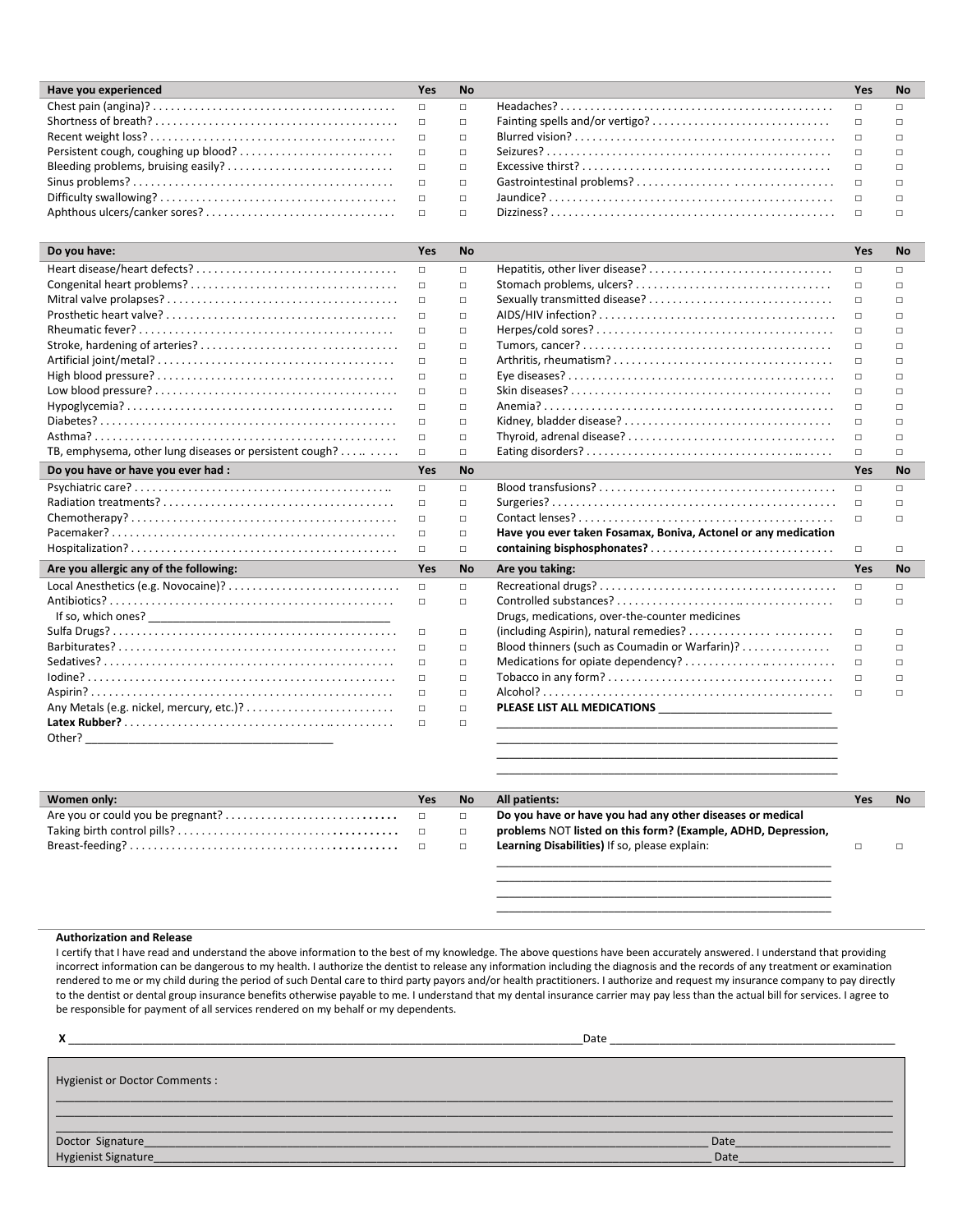| Have you experienced                                                                                               | Yes | <b>No</b> | Yes | No |
|--------------------------------------------------------------------------------------------------------------------|-----|-----------|-----|----|
|                                                                                                                    |     |           |     |    |
|                                                                                                                    |     |           |     |    |
| $\mathsf{Recent\,weight\,loss?}\dots\dots\dots\dots\dots\dots\dots\dots\dots\dots\dots\dots\qquad \Box\qquad \Box$ |     |           |     |    |
|                                                                                                                    |     |           |     |    |
|                                                                                                                    |     |           |     |    |
|                                                                                                                    |     |           |     |    |
|                                                                                                                    |     |           |     |    |
|                                                                                                                    |     |           |     |    |

| Do you have:                                            | Yes    | <b>No</b> |                                                                | <b>Yes</b> | <b>No</b> |
|---------------------------------------------------------|--------|-----------|----------------------------------------------------------------|------------|-----------|
|                                                         | $\Box$ | $\Box$    |                                                                | $\Box$     | $\Box$    |
|                                                         | $\Box$ | $\Box$    |                                                                | $\Box$     | $\Box$    |
|                                                         | $\Box$ | $\Box$    |                                                                | $\Box$     | П         |
|                                                         | $\Box$ | $\Box$    |                                                                | $\Box$     | $\Box$    |
|                                                         | $\Box$ | $\Box$    |                                                                | $\Box$     | $\Box$    |
|                                                         | $\Box$ | $\Box$    |                                                                | $\Box$     | $\Box$    |
|                                                         | $\Box$ | $\Box$    |                                                                | $\Box$     | $\Box$    |
|                                                         | $\Box$ | $\Box$    |                                                                | $\Box$     | $\Box$    |
|                                                         | $\Box$ | $\Box$    |                                                                | $\Box$     | $\Box$    |
|                                                         | $\Box$ | $\Box$    |                                                                | $\Box$     | $\Box$    |
|                                                         | $\Box$ | $\Box$    |                                                                | $\Box$     | $\Box$    |
|                                                         | $\Box$ | $\Box$    |                                                                | $\Box$     | $\Box$    |
| TB, emphysema, other lung diseases or persistent cough? | $\Box$ | $\Box$    |                                                                | $\Box$     | $\Box$    |
| Do you have or have you ever had :                      | Yes    | <b>No</b> |                                                                | Yes        | <b>No</b> |
|                                                         | $\Box$ | $\Box$    |                                                                | $\Box$     | $\Box$    |
|                                                         | $\Box$ | $\Box$    |                                                                | $\Box$     | П         |
|                                                         | $\Box$ | $\Box$    |                                                                | $\Box$     | $\Box$    |
|                                                         | $\Box$ | $\Box$    | Have you ever taken Fosamax, Boniva, Actonel or any medication |            |           |
|                                                         | $\Box$ | $\Box$    |                                                                | $\Box$     | $\Box$    |
| Are you allergic any of the following:                  | Yes    | <b>No</b> | Are you taking:                                                | Yes        | <b>No</b> |
|                                                         | $\Box$ | $\Box$    |                                                                | $\Box$     | $\Box$    |
|                                                         | $\Box$ | $\Box$    |                                                                | $\Box$     | $\Box$    |
|                                                         |        |           | Drugs, medications, over-the-counter medicines                 |            |           |
|                                                         | $\Box$ | $\Box$    |                                                                | $\Box$     | $\Box$    |
|                                                         | $\Box$ | $\Box$    | Blood thinners (such as Coumadin or Warfarin)?                 | $\Box$     | Л         |
|                                                         | $\Box$ | $\Box$    | Medications for opiate dependency?                             | $\Box$     | $\Box$    |
|                                                         | $\Box$ | $\Box$    |                                                                | $\Box$     | $\Box$    |
|                                                         | $\Box$ | $\Box$    |                                                                | $\Box$     | $\Box$    |
|                                                         | $\Box$ | $\Box$    |                                                                |            |           |
|                                                         | $\Box$ | $\Box$    |                                                                |            |           |
| Other?                                                  |        |           |                                                                |            |           |
|                                                         |        |           |                                                                |            |           |

| Women only: | Yes    | <b>No</b> | All patients:                                                 | Yes | <b>No</b> |
|-------------|--------|-----------|---------------------------------------------------------------|-----|-----------|
|             | $\Box$ | $\Box$    | Do you have or have you had any other diseases or medical     |     |           |
|             | $\Box$ | $\Box$    | problems NOT listed on this form? (Example, ADHD, Depression, |     |           |
|             |        | $\Box$    | Learning Disabilities) If so, please explain:                 |     |           |
|             |        |           |                                                               |     |           |

\_\_\_\_\_\_\_\_\_\_\_\_\_\_\_\_\_\_\_\_\_\_\_\_\_\_\_\_\_\_\_\_\_\_\_\_\_\_\_\_\_\_\_\_\_\_\_\_\_\_\_\_\_\_\_

\_\_\_\_\_\_\_\_\_\_\_\_\_\_\_\_\_\_\_\_\_\_\_\_\_\_\_\_\_\_\_\_\_\_\_\_\_\_\_\_\_\_\_\_\_\_\_\_\_\_\_\_\_\_ \_\_\_\_\_\_\_\_\_\_\_\_\_\_\_\_\_\_\_\_\_\_\_\_\_\_\_\_\_\_\_\_\_\_\_\_\_\_\_\_\_\_\_\_\_\_\_\_\_\_\_\_\_\_ \_\_\_\_\_\_\_\_\_\_\_\_\_\_\_\_\_\_\_\_\_\_\_\_\_\_\_\_\_\_\_\_\_\_\_\_\_\_\_\_\_\_\_\_\_\_\_\_\_\_\_\_\_\_

#### **Authorization and Release**

I certify that I have read and understand the above information to the best of my knowledge. The above questions have been accurately answered. I understand that providing incorrect information can be dangerous to my health. I authorize the dentist to release any information including the diagnosis and the records of any treatment or examination rendered to me or my child during the period of such Dental care to third party payors and/or health practitioners. I authorize and request my insurance company to pay directly to the dentist or dental group insurance benefits otherwise payable to me. I understand that my dental insurance carrier may pay less than the actual bill for services. I agree to be responsible for payment of all services rendered on my behalf or my dependents.

|                                | Date         |
|--------------------------------|--------------|
| Hygienist or Doctor Comments : |              |
|                                |              |
|                                | Date<br>Date |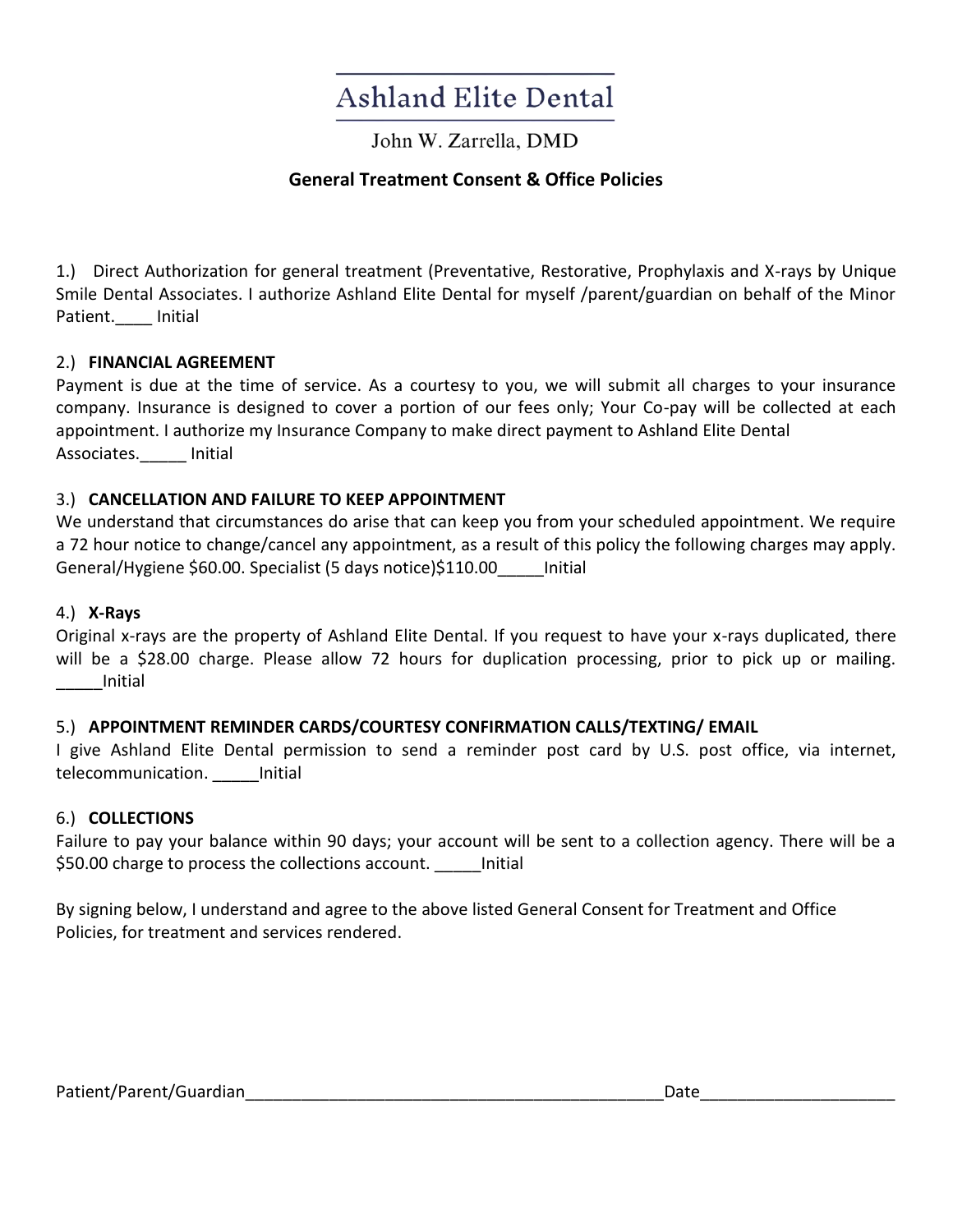# **Ashland Elite Dental**

John W. Zarrella, DMD

### **General Treatment Consent & Office Policies**

1.) Direct Authorization for general treatment (Preventative, Restorative, Prophylaxis and X-rays by Unique Smile Dental Associates. I authorize Ashland Elite Dental for myself /parent/guardian on behalf of the Minor Patient. Initial

#### 2.) **FINANCIAL AGREEMENT**

Payment is due at the time of service. As a courtesy to you, we will submit all charges to your insurance company. Insurance is designed to cover a portion of our fees only; Your Co-pay will be collected at each appointment. I authorize my Insurance Company to make direct payment to Ashland Elite Dental Associates.\_\_\_\_\_ Initial

#### 3.) **CANCELLATION AND FAILURE TO KEEP APPOINTMENT**

We understand that circumstances do arise that can keep you from your scheduled appointment. We require a 72 hour notice to change/cancel any appointment, as a result of this policy the following charges may apply. General/Hygiene \$60.00. Specialist (5 days notice)\$110.00 lnitial

#### 4.) **X-Rays**

Original x-rays are the property of Ashland Elite Dental. If you request to have your x-rays duplicated, there will be a \$28.00 charge. Please allow 72 hours for duplication processing, prior to pick up or mailing. \_\_\_\_\_Initial

#### 5.) **APPOINTMENT REMINDER CARDS/COURTESY CONFIRMATION CALLS/TEXTING/ EMAIL**

I give Ashland Elite Dental permission to send a reminder post card by U.S. post office, via internet, telecommunication. Initial

#### 6.) **COLLECTIONS**

Failure to pay your balance within 90 days; your account will be sent to a collection agency. There will be a \$50.00 charge to process the collections account. \_\_\_\_\_\_ Initial

By signing below, I understand and agree to the above listed General Consent for Treatment and Office Policies, for treatment and services rendered.